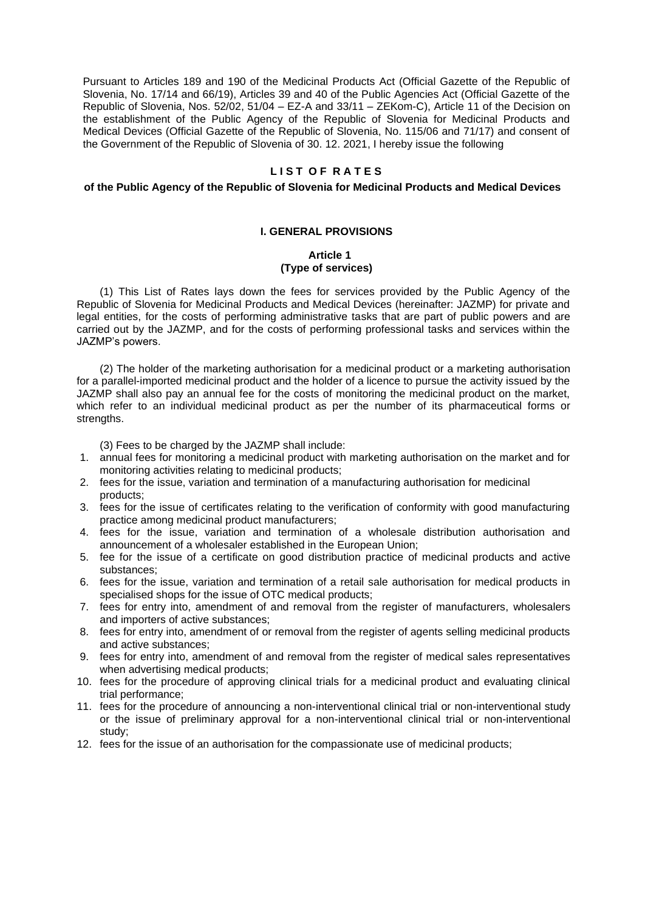Pursuant to Articles 189 and 190 of the Medicinal Products Act (Official Gazette of the Republic of Slovenia, No. 17/14 and 66/19), Articles 39 and 40 of the Public Agencies Act (Official Gazette of the Republic of Slovenia, Nos. 52/02, 51/04 – EZ-A and 33/11 – ZEKom-C), Article 11 of the Decision on the establishment of the Public Agency of the Republic of Slovenia for Medicinal Products and Medical Devices (Official Gazette of the Republic of Slovenia, No. 115/06 and 71/17) and consent of the Government of the Republic of Slovenia of 30. 12. 2021, I hereby issue the following

# LIST OF RATES

### **of the Public Agency of the Republic of Slovenia for Medicinal Products and Medical Devices**

## **I. GENERAL PROVISIONS**

### **Article 1 (Type of services)**

(1) This List of Rates lays down the fees for services provided by the Public Agency of the Republic of Slovenia for Medicinal Products and Medical Devices (hereinafter: JAZMP) for private and legal entities, for the costs of performing administrative tasks that are part of public powers and are carried out by the JAZMP, and for the costs of performing professional tasks and services within the JAZMP's powers.

(2) The holder of the marketing authorisation for a medicinal product or a marketing authorisation for a parallel-imported medicinal product and the holder of a licence to pursue the activity issued by the JAZMP shall also pay an annual fee for the costs of monitoring the medicinal product on the market, which refer to an individual medicinal product as per the number of its pharmaceutical forms or strengths.

(3) Fees to be charged by the JAZMP shall include:

- 1. annual fees for monitoring a medicinal product with marketing authorisation on the market and for monitoring activities relating to medicinal products;
- 2. fees for the issue, variation and termination of a manufacturing authorisation for medicinal products;
- 3. fees for the issue of certificates relating to the verification of conformity with good manufacturing practice among medicinal product manufacturers;
- 4. fees for the issue, variation and termination of a wholesale distribution authorisation and announcement of a wholesaler established in the European Union;
- 5. fee for the issue of a certificate on good distribution practice of medicinal products and active substances;
- 6. fees for the issue, variation and termination of a retail sale authorisation for medical products in specialised shops for the issue of OTC medical products;
- 7. fees for entry into, amendment of and removal from the register of manufacturers, wholesalers and importers of active substances;
- 8. fees for entry into, amendment of or removal from the register of agents selling medicinal products and active substances;
- 9. fees for entry into, amendment of and removal from the register of medical sales representatives when advertising medical products;
- 10. fees for the procedure of approving clinical trials for a medicinal product and evaluating clinical trial performance;
- 11. fees for the procedure of announcing a non-interventional clinical trial or non-interventional study or the issue of preliminary approval for a non-interventional clinical trial or non-interventional study;
- 12. fees for the issue of an authorisation for the compassionate use of medicinal products;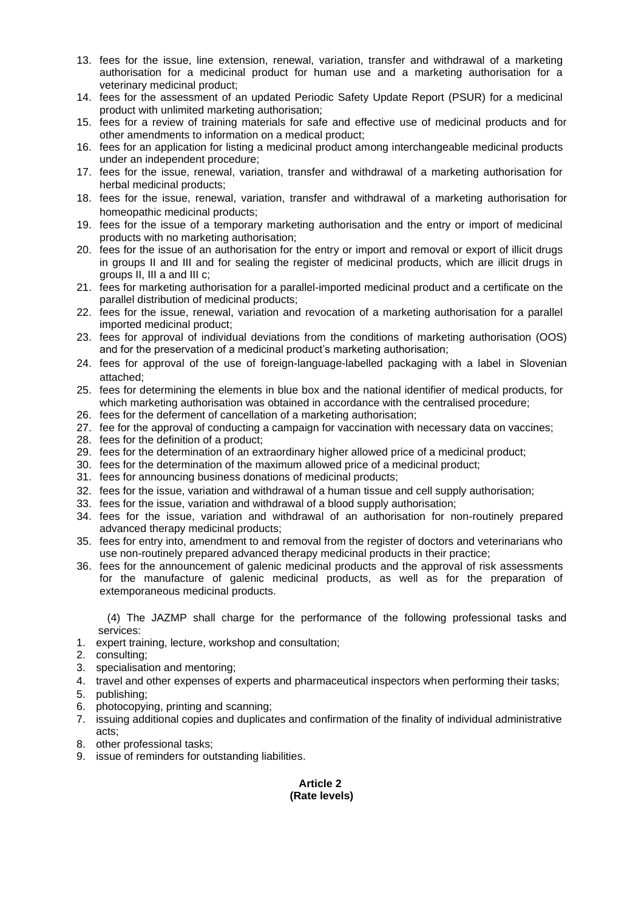- 13. fees for the issue, line extension, renewal, variation, transfer and withdrawal of a marketing authorisation for a medicinal product for human use and a marketing authorisation for a veterinary medicinal product;
- 14. fees for the assessment of an updated Periodic Safety Update Report (PSUR) for a medicinal product with unlimited marketing authorisation;
- 15. fees for a review of training materials for safe and effective use of medicinal products and for other amendments to information on a medical product;
- 16. fees for an application for listing a medicinal product among interchangeable medicinal products under an independent procedure;
- 17. fees for the issue, renewal, variation, transfer and withdrawal of a marketing authorisation for herbal medicinal products;
- 18. fees for the issue, renewal, variation, transfer and withdrawal of a marketing authorisation for homeopathic medicinal products;
- 19. fees for the issue of a temporary marketing authorisation and the entry or import of medicinal products with no marketing authorisation;
- 20. fees for the issue of an authorisation for the entry or import and removal or export of illicit drugs in groups II and III and for sealing the register of medicinal products, which are illicit drugs in groups II, III a and III c;
- 21. fees for marketing authorisation for a parallel-imported medicinal product and a certificate on the parallel distribution of medicinal products;
- 22. fees for the issue, renewal, variation and revocation of a marketing authorisation for a parallel imported medicinal product;
- 23. fees for approval of individual deviations from the conditions of marketing authorisation (OOS) and for the preservation of a medicinal product's marketing authorisation;
- 24. fees for approval of the use of foreign-language-labelled packaging with a label in Slovenian attached;
- 25. fees for determining the elements in blue box and the national identifier of medical products, for which marketing authorisation was obtained in accordance with the centralised procedure;
- 26. fees for the deferment of cancellation of a marketing authorisation;
- 27. fee for the approval of conducting a campaign for vaccination with necessary data on vaccines;
- 28. fees for the definition of a product;
- 29. fees for the determination of an extraordinary higher allowed price of a medicinal product;
- 30. fees for the determination of the maximum allowed price of a medicinal product;
- 31. fees for announcing business donations of medicinal products;
- 32. fees for the issue, variation and withdrawal of a human tissue and cell supply authorisation;
- 33. fees for the issue, variation and withdrawal of a blood supply authorisation;
- 34. fees for the issue, variation and withdrawal of an authorisation for non-routinely prepared advanced therapy medicinal products;
- 35. fees for entry into, amendment to and removal from the register of doctors and veterinarians who use non-routinely prepared advanced therapy medicinal products in their practice;
- 36. fees for the announcement of galenic medicinal products and the approval of risk assessments for the manufacture of galenic medicinal products, as well as for the preparation of extemporaneous medicinal products.

(4) The JAZMP shall charge for the performance of the following professional tasks and services:

1. expert training, lecture, workshop and consultation;

- 2. consulting;
- 3. specialisation and mentoring;
- 4. travel and other expenses of experts and pharmaceutical inspectors when performing their tasks;
- 5. publishing;
- 6. photocopying, printing and scanning;
- 7. issuing additional copies and duplicates and confirmation of the finality of individual administrative acts;
- 8. other professional tasks;
- 9. issue of reminders for outstanding liabilities.

# **Article 2 (Rate levels)**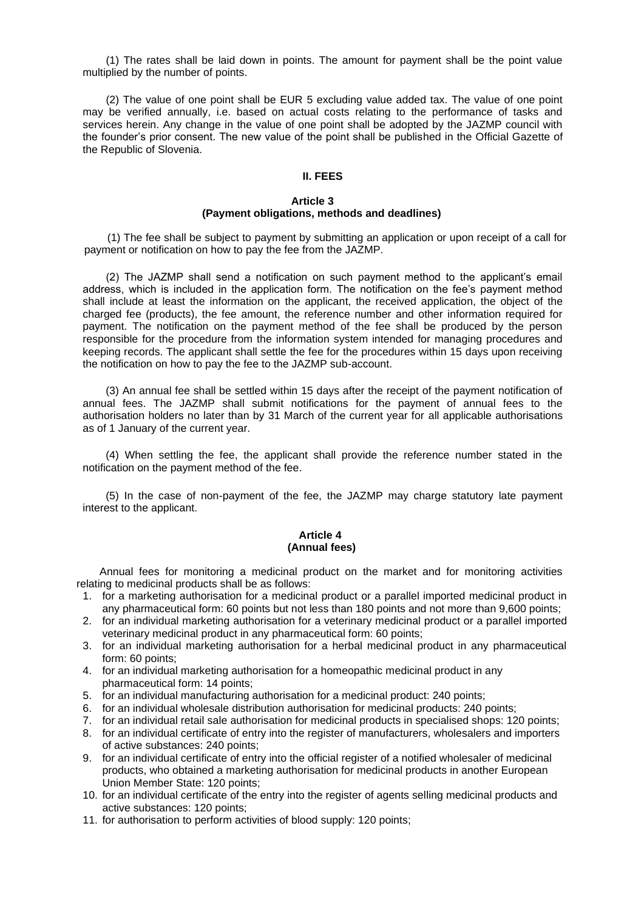(1) The rates shall be laid down in points. The amount for payment shall be the point value multiplied by the number of points.

(2) The value of one point shall be EUR 5 excluding value added tax. The value of one point may be verified annually, i.e. based on actual costs relating to the performance of tasks and services herein. Any change in the value of one point shall be adopted by the JAZMP council with the founder's prior consent. The new value of the point shall be published in the Official Gazette of the Republic of Slovenia.

## **II. FEES**

### **Article 3 (Payment obligations, methods and deadlines)**

(1) The fee shall be subject to payment by submitting an application or upon receipt of a call for payment or notification on how to pay the fee from the JAZMP.

(2) The JAZMP shall send a notification on such payment method to the applicant's email address, which is included in the application form. The notification on the fee's payment method shall include at least the information on the applicant, the received application, the object of the charged fee (products), the fee amount, the reference number and other information required for payment. The notification on the payment method of the fee shall be produced by the person responsible for the procedure from the information system intended for managing procedures and keeping records. The applicant shall settle the fee for the procedures within 15 days upon receiving the notification on how to pay the fee to the JAZMP sub-account.

(3) An annual fee shall be settled within 15 days after the receipt of the payment notification of annual fees. The JAZMP shall submit notifications for the payment of annual fees to the authorisation holders no later than by 31 March of the current year for all applicable authorisations as of 1 January of the current year.

(4) When settling the fee, the applicant shall provide the reference number stated in the notification on the payment method of the fee.

(5) In the case of non-payment of the fee, the JAZMP may charge statutory late payment interest to the applicant.

### **Article 4 (Annual fees)**

Annual fees for monitoring a medicinal product on the market and for monitoring activities relating to medicinal products shall be as follows:

- 1. for a marketing authorisation for a medicinal product or a parallel imported medicinal product in any pharmaceutical form: 60 points but not less than 180 points and not more than 9,600 points;
- 2. for an individual marketing authorisation for a veterinary medicinal product or a parallel imported veterinary medicinal product in any pharmaceutical form: 60 points;
- 3. for an individual marketing authorisation for a herbal medicinal product in any pharmaceutical form: 60 points;
- 4. for an individual marketing authorisation for a homeopathic medicinal product in any pharmaceutical form: 14 points;
- 5. for an individual manufacturing authorisation for a medicinal product: 240 points;
- 6. for an individual wholesale distribution authorisation for medicinal products: 240 points;
- 7. for an individual retail sale authorisation for medicinal products in specialised shops: 120 points;
- 8. for an individual certificate of entry into the register of manufacturers, wholesalers and importers of active substances: 240 points;
- 9. for an individual certificate of entry into the official register of a notified wholesaler of medicinal products, who obtained a marketing authorisation for medicinal products in another European Union Member State: 120 points;
- 10. for an individual certificate of the entry into the register of agents selling medicinal products and active substances: 120 points;
- 11. for authorisation to perform activities of blood supply: 120 points;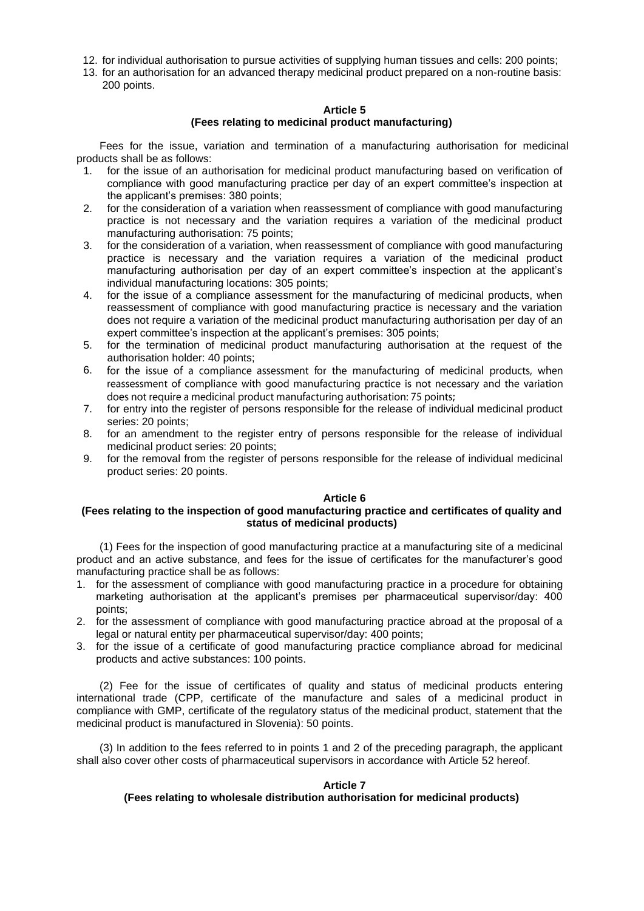- 12. for individual authorisation to pursue activities of supplying human tissues and cells: 200 points;
- 13. for an authorisation for an advanced therapy medicinal product prepared on a non-routine basis: 200 points.

### **Article 5 (Fees relating to medicinal product manufacturing)**

Fees for the issue, variation and termination of a manufacturing authorisation for medicinal products shall be as follows:

- 1. for the issue of an authorisation for medicinal product manufacturing based on verification of compliance with good manufacturing practice per day of an expert committee's inspection at the applicant's premises: 380 points;
- 2. for the consideration of a variation when reassessment of compliance with good manufacturing practice is not necessary and the variation requires a variation of the medicinal product manufacturing authorisation: 75 points;
- 3. for the consideration of a variation, when reassessment of compliance with good manufacturing practice is necessary and the variation requires a variation of the medicinal product manufacturing authorisation per day of an expert committee's inspection at the applicant's individual manufacturing locations: 305 points;
- 4. for the issue of a compliance assessment for the manufacturing of medicinal products, when reassessment of compliance with good manufacturing practice is necessary and the variation does not require a variation of the medicinal product manufacturing authorisation per day of an expert committee's inspection at the applicant's premises: 305 points;
- 5. for the termination of medicinal product manufacturing authorisation at the request of the authorisation holder: 40 points;
- 6. for the issue of a compliance assessment for the manufacturing of medicinal products, when reassessment of compliance with good manufacturing practice is not necessary and the variation does not require a medicinal product manufacturing authorisation: 75 points;
- 7. for entry into the register of persons responsible for the release of individual medicinal product series: 20 points;
- 8. for an amendment to the register entry of persons responsible for the release of individual medicinal product series: 20 points;
- 9. for the removal from the register of persons responsible for the release of individual medicinal product series: 20 points.

### **Article 6**

# **(Fees relating to the inspection of good manufacturing practice and certificates of quality and status of medicinal products)**

(1) Fees for the inspection of good manufacturing practice at a manufacturing site of a medicinal product and an active substance, and fees for the issue of certificates for the manufacturer's good manufacturing practice shall be as follows:

- 1. for the assessment of compliance with good manufacturing practice in a procedure for obtaining marketing authorisation at the applicant's premises per pharmaceutical supervisor/day: 400 points;
- 2. for the assessment of compliance with good manufacturing practice abroad at the proposal of a legal or natural entity per pharmaceutical supervisor/day: 400 points;
- 3. for the issue of a certificate of good manufacturing practice compliance abroad for medicinal products and active substances: 100 points.

(2) Fee for the issue of certificates of quality and status of medicinal products entering international trade (CPP, certificate of the manufacture and sales of a medicinal product in compliance with GMP, certificate of the regulatory status of the medicinal product, statement that the medicinal product is manufactured in Slovenia): 50 points.

(3) In addition to the fees referred to in points 1 and 2 of the preceding paragraph, the applicant shall also cover other costs of pharmaceutical supervisors in accordance with Article 52 hereof.

### **Article 7**

# **(Fees relating to wholesale distribution authorisation for medicinal products)**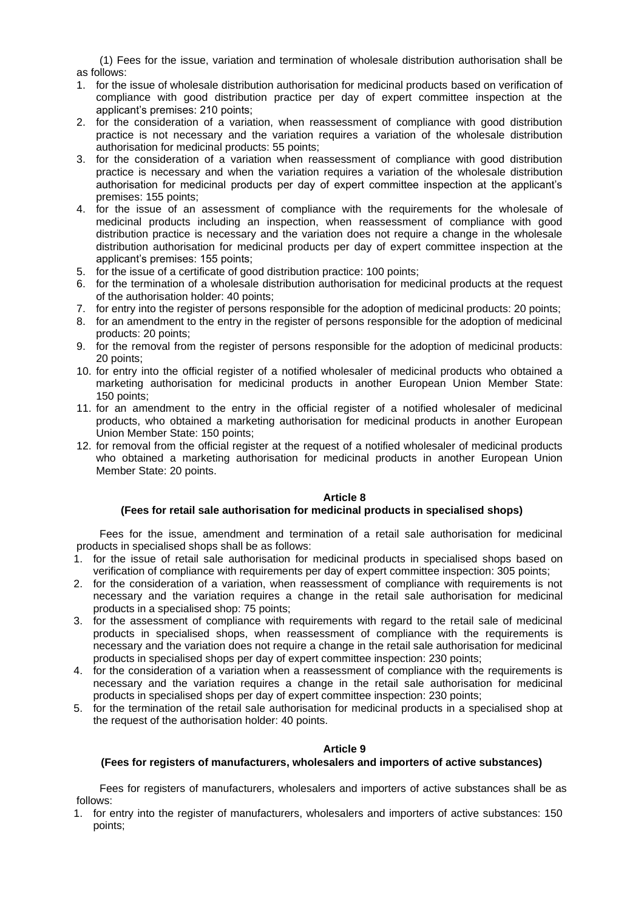(1) Fees for the issue, variation and termination of wholesale distribution authorisation shall be as follows:

- 1. for the issue of wholesale distribution authorisation for medicinal products based on verification of compliance with good distribution practice per day of expert committee inspection at the applicant's premises: 210 points;
- 2. for the consideration of a variation, when reassessment of compliance with good distribution practice is not necessary and the variation requires a variation of the wholesale distribution authorisation for medicinal products: 55 points;
- 3. for the consideration of a variation when reassessment of compliance with good distribution practice is necessary and when the variation requires a variation of the wholesale distribution authorisation for medicinal products per day of expert committee inspection at the applicant's premises: 155 points;
- 4. for the issue of an assessment of compliance with the requirements for the wholesale of medicinal products including an inspection, when reassessment of compliance with good distribution practice is necessary and the variation does not require a change in the wholesale distribution authorisation for medicinal products per day of expert committee inspection at the applicant's premises: 155 points;
- 5. for the issue of a certificate of good distribution practice: 100 points;
- 6. for the termination of a wholesale distribution authorisation for medicinal products at the request of the authorisation holder: 40 points;
- 7. for entry into the register of persons responsible for the adoption of medicinal products: 20 points;
- 8. for an amendment to the entry in the register of persons responsible for the adoption of medicinal products: 20 points;
- 9. for the removal from the register of persons responsible for the adoption of medicinal products: 20 points;
- 10. for entry into the official register of a notified wholesaler of medicinal products who obtained a marketing authorisation for medicinal products in another European Union Member State: 150 points;
- 11. for an amendment to the entry in the official register of a notified wholesaler of medicinal products, who obtained a marketing authorisation for medicinal products in another European Union Member State: 150 points;
- 12. for removal from the official register at the request of a notified wholesaler of medicinal products who obtained a marketing authorisation for medicinal products in another European Union Member State: 20 points.

### **Article 8**

### **(Fees for retail sale authorisation for medicinal products in specialised shops)**

Fees for the issue, amendment and termination of a retail sale authorisation for medicinal products in specialised shops shall be as follows:

- 1. for the issue of retail sale authorisation for medicinal products in specialised shops based on verification of compliance with requirements per day of expert committee inspection: 305 points;
- 2. for the consideration of a variation, when reassessment of compliance with requirements is not necessary and the variation requires a change in the retail sale authorisation for medicinal products in a specialised shop: 75 points;
- 3. for the assessment of compliance with requirements with regard to the retail sale of medicinal products in specialised shops, when reassessment of compliance with the requirements is necessary and the variation does not require a change in the retail sale authorisation for medicinal products in specialised shops per day of expert committee inspection: 230 points;
- 4. for the consideration of a variation when a reassessment of compliance with the requirements is necessary and the variation requires a change in the retail sale authorisation for medicinal products in specialised shops per day of expert committee inspection: 230 points;
- 5. for the termination of the retail sale authorisation for medicinal products in a specialised shop at the request of the authorisation holder: 40 points.

### **Article 9**

# **(Fees for registers of manufacturers, wholesalers and importers of active substances)**

Fees for registers of manufacturers, wholesalers and importers of active substances shall be as follows:

1. for entry into the register of manufacturers, wholesalers and importers of active substances: 150 points;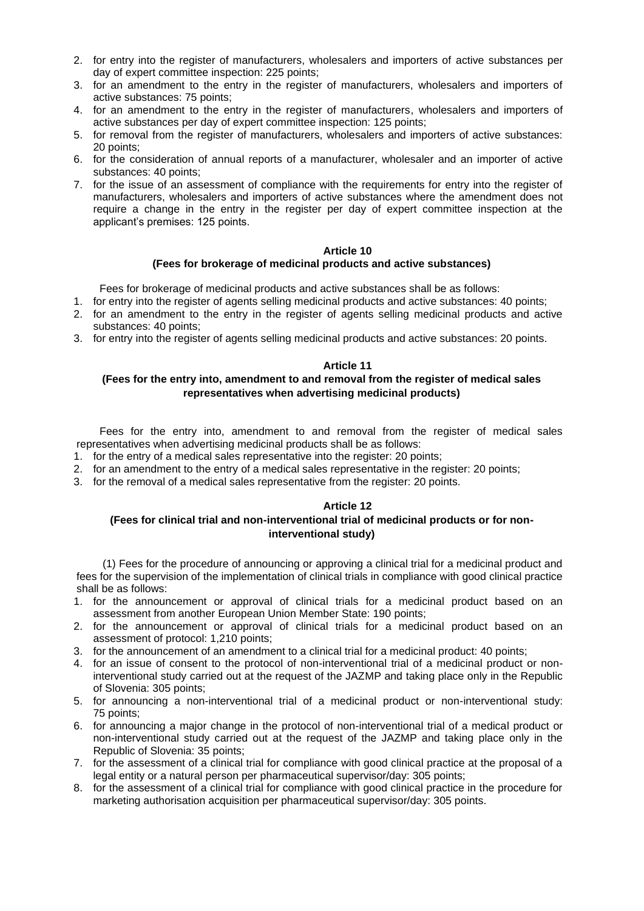- 2. for entry into the register of manufacturers, wholesalers and importers of active substances per day of expert committee inspection: 225 points;
- 3. for an amendment to the entry in the register of manufacturers, wholesalers and importers of active substances: 75 points;
- 4. for an amendment to the entry in the register of manufacturers, wholesalers and importers of active substances per day of expert committee inspection: 125 points;
- 5. for removal from the register of manufacturers, wholesalers and importers of active substances: 20 points;
- 6. for the consideration of annual reports of a manufacturer, wholesaler and an importer of active substances: 40 points;
- 7. for the issue of an assessment of compliance with the requirements for entry into the register of manufacturers, wholesalers and importers of active substances where the amendment does not require a change in the entry in the register per day of expert committee inspection at the applicant's premises: 125 points.

### **Article 10 (Fees for brokerage of medicinal products and active substances)**

Fees for brokerage of medicinal products and active substances shall be as follows:

- 1. for entry into the register of agents selling medicinal products and active substances: 40 points;
- 2. for an amendment to the entry in the register of agents selling medicinal products and active substances: 40 points;
- 3. for entry into the register of agents selling medicinal products and active substances: 20 points.

# **Article 11**

# **(Fees for the entry into, amendment to and removal from the register of medical sales representatives when advertising medicinal products)**

Fees for the entry into, amendment to and removal from the register of medical sales representatives when advertising medicinal products shall be as follows:

- 1. for the entry of a medical sales representative into the register: 20 points;
- 2. for an amendment to the entry of a medical sales representative in the register: 20 points;
- 3. for the removal of a medical sales representative from the register: 20 points.

# **Article 12**

## **(Fees for clinical trial and non-interventional trial of medicinal products or for noninterventional study)**

(1) Fees for the procedure of announcing or approving a clinical trial for a medicinal product and fees for the supervision of the implementation of clinical trials in compliance with good clinical practice shall be as follows:

- 1. for the announcement or approval of clinical trials for a medicinal product based on an assessment from another European Union Member State: 190 points;
- 2. for the announcement or approval of clinical trials for a medicinal product based on an assessment of protocol: 1,210 points;
- 3. for the announcement of an amendment to a clinical trial for a medicinal product: 40 points;
- 4. for an issue of consent to the protocol of non-interventional trial of a medicinal product or noninterventional study carried out at the request of the JAZMP and taking place only in the Republic of Slovenia: 305 points;
- 5. for announcing a non-interventional trial of a medicinal product or non-interventional study: 75 points;
- 6. for announcing a major change in the protocol of non-interventional trial of a medical product or non-interventional study carried out at the request of the JAZMP and taking place only in the Republic of Slovenia: 35 points;
- 7. for the assessment of a clinical trial for compliance with good clinical practice at the proposal of a legal entity or a natural person per pharmaceutical supervisor/day: 305 points;
- 8. for the assessment of a clinical trial for compliance with good clinical practice in the procedure for marketing authorisation acquisition per pharmaceutical supervisor/day: 305 points.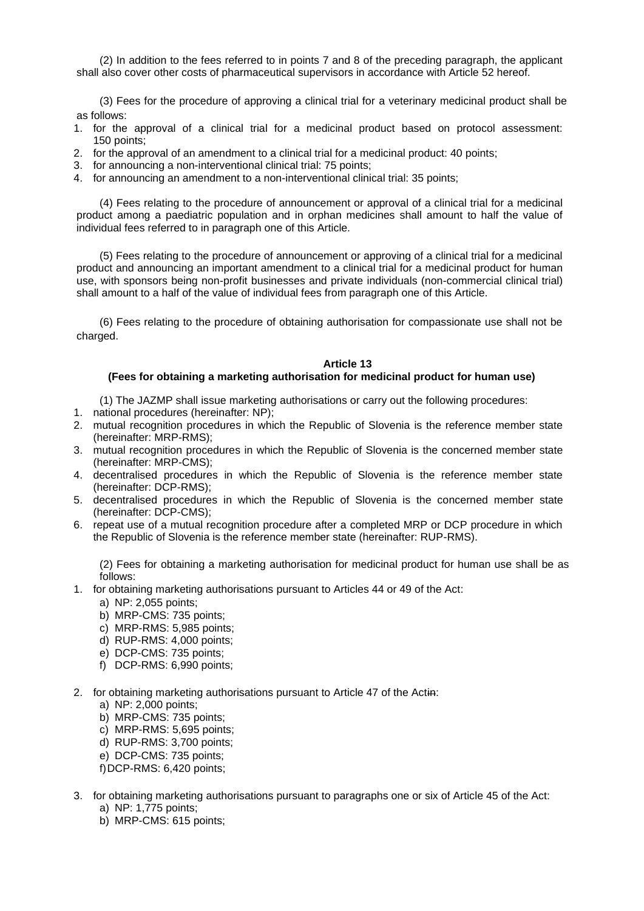(2) In addition to the fees referred to in points 7 and 8 of the preceding paragraph, the applicant shall also cover other costs of pharmaceutical supervisors in accordance with Article 52 hereof.

(3) Fees for the procedure of approving a clinical trial for a veterinary medicinal product shall be as follows:

- 1. for the approval of a clinical trial for a medicinal product based on protocol assessment: 150 points;
- 2. for the approval of an amendment to a clinical trial for a medicinal product: 40 points;
- 3. for announcing a non-interventional clinical trial: 75 points;
- 4. for announcing an amendment to a non-interventional clinical trial: 35 points;

(4) Fees relating to the procedure of announcement or approval of a clinical trial for a medicinal product among a paediatric population and in orphan medicines shall amount to half the value of individual fees referred to in paragraph one of this Article.

(5) Fees relating to the procedure of announcement or approving of a clinical trial for a medicinal product and announcing an important amendment to a clinical trial for a medicinal product for human use, with sponsors being non-profit businesses and private individuals (non-commercial clinical trial) shall amount to a half of the value of individual fees from paragraph one of this Article.

(6) Fees relating to the procedure of obtaining authorisation for compassionate use shall not be charged.

#### **Article 13**

### **(Fees for obtaining a marketing authorisation for medicinal product for human use)**

(1) The JAZMP shall issue marketing authorisations or carry out the following procedures:

- 1. national procedures (hereinafter: NP);
- 2. mutual recognition procedures in which the Republic of Slovenia is the reference member state (hereinafter: MRP-RMS);
- 3. mutual recognition procedures in which the Republic of Slovenia is the concerned member state (hereinafter: MRP-CMS);
- 4. decentralised procedures in which the Republic of Slovenia is the reference member state (hereinafter: DCP-RMS);
- 5. decentralised procedures in which the Republic of Slovenia is the concerned member state (hereinafter: DCP-CMS);

6. repeat use of a mutual recognition procedure after a completed MRP or DCP procedure in which the Republic of Slovenia is the reference member state (hereinafter: RUP-RMS).

(2) Fees for obtaining a marketing authorisation for medicinal product for human use shall be as follows:

- 1. for obtaining marketing authorisations pursuant to Articles 44 or 49 of the Act:
	- a) NP: 2,055 points;
	- b) MRP-CMS: 735 points;
	- c) MRP-RMS: 5,985 points;
	- d) RUP-RMS: 4,000 points;
	- e) DCP-CMS: 735 points;
	- f) DCP-RMS: 6,990 points;
- 2. for obtaining marketing authorisations pursuant to Article 47 of the Actin:
	- a) NP: 2,000 points;
	- b) MRP-CMS: 735 points;
	- c) MRP-RMS: 5,695 points;
	- d) RUP-RMS: 3,700 points;
	- e) DCP-CMS: 735 points;
	- f)DCP-RMS: 6,420 points;
- 3. for obtaining marketing authorisations pursuant to paragraphs one or six of Article 45 of the Act:
	- a) NP: 1,775 points;
	- b) MRP-CMS: 615 points;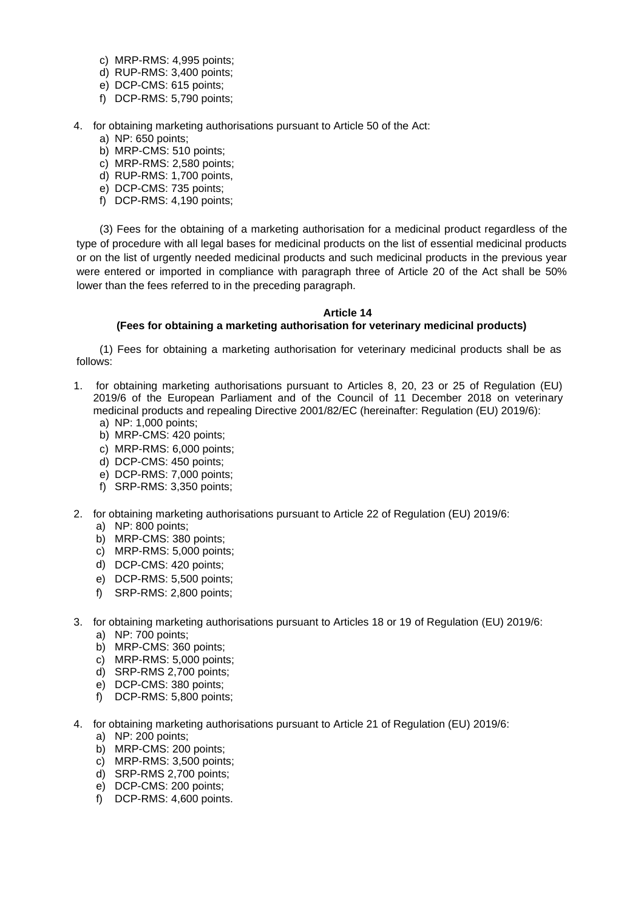- c) MRP-RMS: 4,995 points;
- d) RUP-RMS: 3,400 points;
- e) DCP-CMS: 615 points;
- f) DCP-RMS: 5,790 points;
- 4. for obtaining marketing authorisations pursuant to Article 50 of the Act:
	- a) NP: 650 points;
	- b) MRP-CMS: 510 points;
	- c) MRP-RMS: 2,580 points;
	- d) RUP-RMS: 1,700 points,
	- e) DCP-CMS: 735 points;
	- f) DCP-RMS: 4,190 points;

(3) Fees for the obtaining of a marketing authorisation for a medicinal product regardless of the type of procedure with all legal bases for medicinal products on the list of essential medicinal products or on the list of urgently needed medicinal products and such medicinal products in the previous year were entered or imported in compliance with paragraph three of Article 20 of the Act shall be 50% lower than the fees referred to in the preceding paragraph.

# **Article 14**

# **(Fees for obtaining a marketing authorisation for veterinary medicinal products)**

(1) Fees for obtaining a marketing authorisation for veterinary medicinal products shall be as follows:

- 1. for obtaining marketing authorisations pursuant to Articles 8, 20, 23 or 25 of Regulation (EU) 2019/6 of the European Parliament and of the Council of 11 December 2018 on veterinary medicinal products and repealing Directive 2001/82/EC (hereinafter: Regulation (EU) 2019/6):
	- a) NP: 1,000 points;
	- b) MRP-CMS: 420 points;
	- c) MRP-RMS: 6,000 points;
	- d) DCP-CMS: 450 points;
	- e) DCP-RMS: 7,000 points;
	- f) SRP-RMS: 3,350 points;
- 2. for obtaining marketing authorisations pursuant to Article 22 of Regulation (EU) 2019/6:
	- a) NP: 800 points;
	- b) MRP-CMS: 380 points;
	- c) MRP-RMS: 5,000 points;
	- d) DCP-CMS: 420 points;
	- e) DCP-RMS: 5,500 points;
	- f) SRP-RMS: 2,800 points;
- 3. for obtaining marketing authorisations pursuant to Articles 18 or 19 of Regulation (EU) 2019/6:
	- a) NP: 700 points;
	- b) MRP-CMS: 360 points;
	- c) MRP-RMS: 5,000 points;
	- d) SRP-RMS 2,700 points;
	- e) DCP-CMS: 380 points;
	- f) DCP-RMS: 5,800 points;
- 4. for obtaining marketing authorisations pursuant to Article 21 of Regulation (EU) 2019/6:
	- a) NP: 200 points;
	- b) MRP-CMS: 200 points;
	- c) MRP-RMS: 3,500 points;
	- d) SRP-RMS 2,700 points;
	- e) DCP-CMS: 200 points;
	- f) DCP-RMS: 4,600 points.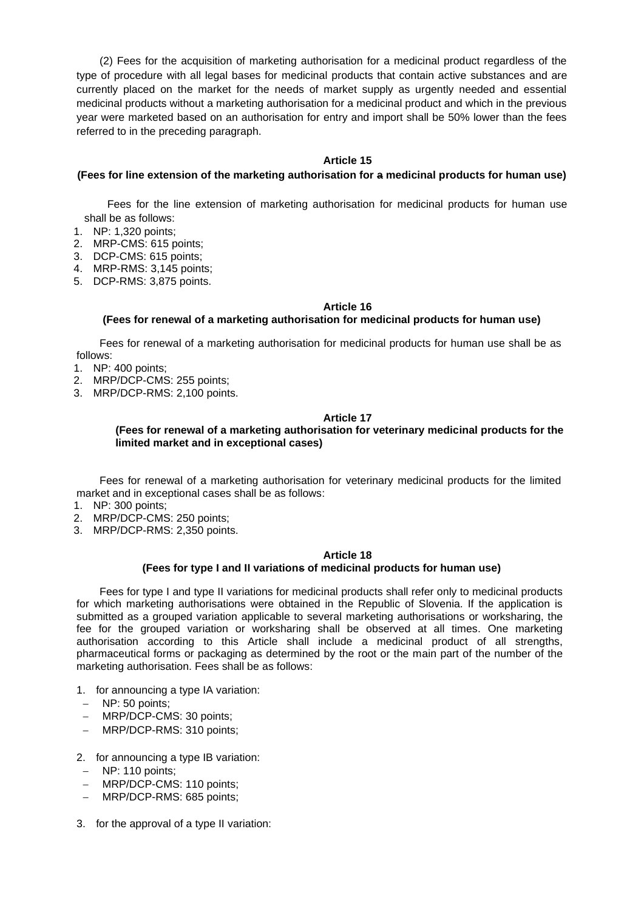(2) Fees for the acquisition of marketing authorisation for a medicinal product regardless of the type of procedure with all legal bases for medicinal products that contain active substances and are currently placed on the market for the needs of market supply as urgently needed and essential medicinal products without a marketing authorisation for a medicinal product and which in the previous year were marketed based on an authorisation for entry and import shall be 50% lower than the fees referred to in the preceding paragraph.

# **Article 15**

## **(Fees for line extension of the marketing authorisation for a medicinal products for human use)**

Fees for the line extension of marketing authorisation for medicinal products for human use shall be as follows:

- 1. NP: 1,320 points;
- 2. MRP-CMS: 615 points;
- 3. DCP-CMS: 615 points;
- 4. MRP-RMS: 3,145 points;
- 5. DCP-RMS: 3,875 points.

## **Article 16**

# **(Fees for renewal of a marketing authorisation for medicinal products for human use)**

Fees for renewal of a marketing authorisation for medicinal products for human use shall be as follows:

- 1. NP: 400 points;
- 2. MRP/DCP-CMS: 255 points;
- 3. MRP/DCP-RMS: 2,100 points.

## **Article 17**

## **(Fees for renewal of a marketing authorisation for veterinary medicinal products for the limited market and in exceptional cases)**

Fees for renewal of a marketing authorisation for veterinary medicinal products for the limited market and in exceptional cases shall be as follows:

- 1. NP: 300 points;
- 2. MRP/DCP-CMS: 250 points;
- 3. MRP/DCP-RMS: 2,350 points.

### **Article 18**

# **(Fees for type I and II variations of medicinal products for human use)**

Fees for type I and type II variations for medicinal products shall refer only to medicinal products for which marketing authorisations were obtained in the Republic of Slovenia. If the application is submitted as a grouped variation applicable to several marketing authorisations or worksharing, the fee for the grouped variation or worksharing shall be observed at all times. One marketing authorisation according to this Article shall include a medicinal product of all strengths, pharmaceutical forms or packaging as determined by the root or the main part of the number of the marketing authorisation. Fees shall be as follows:

- 1. for announcing a type IA variation:
- − NP: 50 points;
- − MRP/DCP-CMS: 30 points;
- − MRP/DCP-RMS: 310 points;
- 2. for announcing a type IB variation:
- − NP: 110 points;
- − MRP/DCP-CMS: 110 points;
- − MRP/DCP-RMS: 685 points;
- 3. for the approval of a type II variation: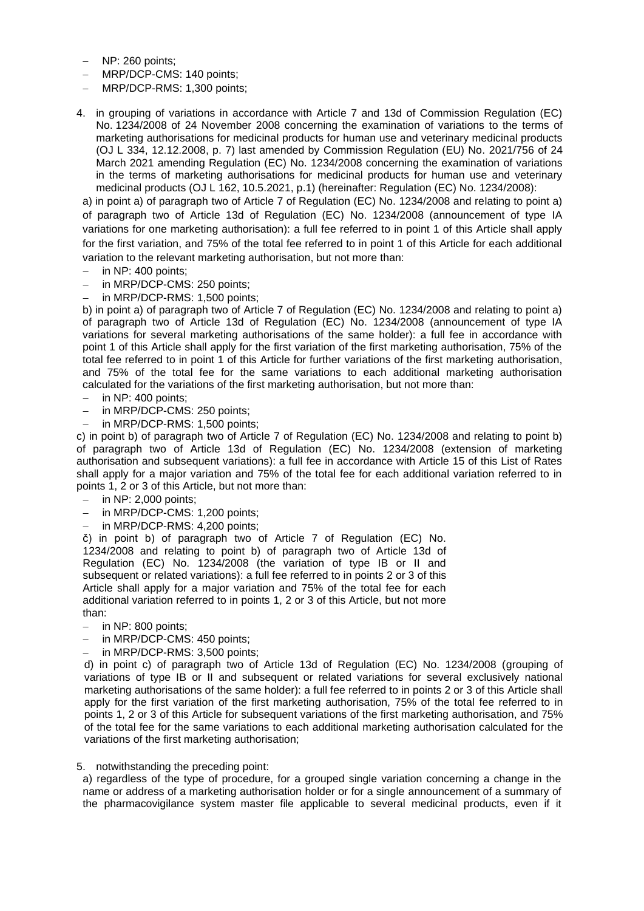- − NP: 260 points;
- − MRP/DCP-CMS: 140 points;
- − MRP/DCP-RMS: 1,300 points;
- 4. in grouping of variations in accordance with Article 7 and 13d of Commission Regulation (EC) No. 1234/2008 of 24 November 2008 concerning the examination of variations to the terms of marketing authorisations for medicinal products for human use and veterinary medicinal products (OJ L 334, 12.12.2008, p. 7) last amended by Commission Regulation (EU) No. 2021/756 of 24 March 2021 amending Regulation (EC) No. 1234/2008 concerning the examination of variations in the terms of marketing authorisations for medicinal products for human use and veterinary medicinal products (OJ L 162, 10.5.2021, p.1) (hereinafter: Regulation (EC) No. 1234/2008):

a) in point a) of paragraph two of Article 7 of Regulation (EC) No. 1234/2008 and relating to point a) of paragraph two of Article 13d of Regulation (EC) No. 1234/2008 (announcement of type IA variations for one marketing authorisation): a full fee referred to in point 1 of this Article shall apply for the first variation, and 75% of the total fee referred to in point 1 of this Article for each additional variation to the relevant marketing authorisation, but not more than:

- in NP: 400 points;
- in MRP/DCP-CMS: 250 points;
- in MRP/DCP-RMS: 1,500 points:

b) in point a) of paragraph two of Article 7 of Regulation (EC) No. 1234/2008 and relating to point a) of paragraph two of Article 13d of Regulation (EC) No. 1234/2008 (announcement of type IA variations for several marketing authorisations of the same holder): a full fee in accordance with point 1 of this Article shall apply for the first variation of the first marketing authorisation, 75% of the total fee referred to in point 1 of this Article for further variations of the first marketing authorisation, and 75% of the total fee for the same variations to each additional marketing authorisation calculated for the variations of the first marketing authorisation, but not more than:

- − in NP: 400 points;
- in MRP/DCP-CMS: 250 points:
- in MRP/DCP-RMS: 1,500 points;

c) in point b) of paragraph two of Article 7 of Regulation (EC) No. 1234/2008 and relating to point b) of paragraph two of Article 13d of Regulation (EC) No. 1234/2008 (extension of marketing authorisation and subsequent variations): a full fee in accordance with Article 15 of this List of Rates shall apply for a major variation and 75% of the total fee for each additional variation referred to in points 1, 2 or 3 of this Article, but not more than:

- − in NP: 2,000 points;
- − in MRP/DCP-CMS: 1,200 points;
- in MRP/DCP-RMS: 4,200 points;

č) in point b) of paragraph two of Article 7 of Regulation (EC) No. 1234/2008 and relating to point b) of paragraph two of Article 13d of Regulation (EC) No. 1234/2008 (the variation of type IB or II and subsequent or related variations): a full fee referred to in points 2 or 3 of this Article shall apply for a major variation and 75% of the total fee for each additional variation referred to in points 1, 2 or 3 of this Article, but not more than:

- − in NP: 800 points;
- − in MRP/DCP-CMS: 450 points;
- − in MRP/DCP-RMS: 3,500 points;

d) in point c) of paragraph two of Article 13d of Regulation (EC) No. 1234/2008 (grouping of variations of type IB or II and subsequent or related variations for several exclusively national marketing authorisations of the same holder): a full fee referred to in points 2 or 3 of this Article shall apply for the first variation of the first marketing authorisation, 75% of the total fee referred to in points 1, 2 or 3 of this Article for subsequent variations of the first marketing authorisation, and 75% of the total fee for the same variations to each additional marketing authorisation calculated for the variations of the first marketing authorisation;

5. notwithstanding the preceding point:

a) regardless of the type of procedure, for a grouped single variation concerning a change in the name or address of a marketing authorisation holder or for a single announcement of a summary of the pharmacovigilance system master file applicable to several medicinal products, even if it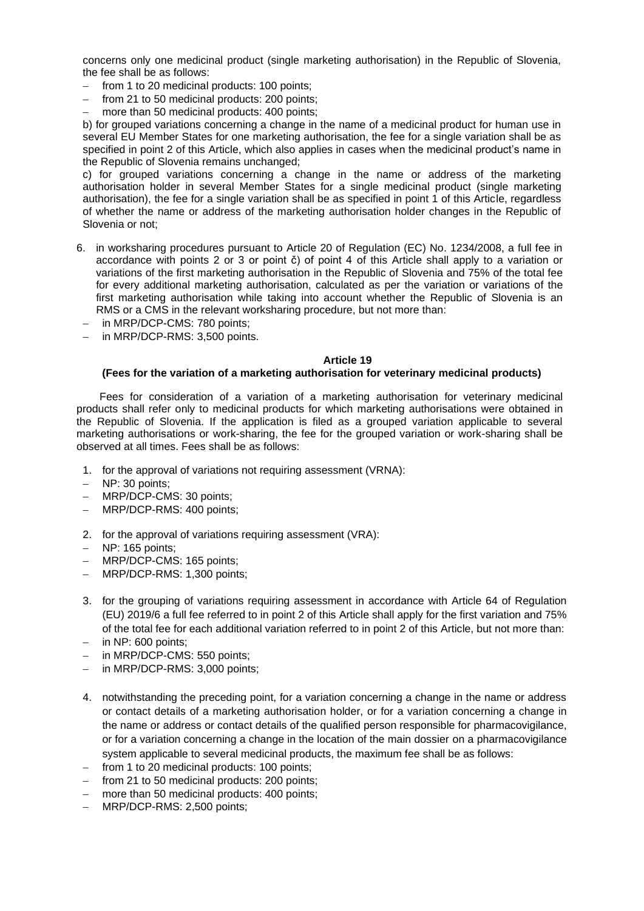concerns only one medicinal product (single marketing authorisation) in the Republic of Slovenia, the fee shall be as follows:

- from 1 to 20 medicinal products: 100 points:
- − from 21 to 50 medicinal products: 200 points;
- more than 50 medicinal products: 400 points;

b) for grouped variations concerning a change in the name of a medicinal product for human use in several EU Member States for one marketing authorisation, the fee for a single variation shall be as specified in point 2 of this Article, which also applies in cases when the medicinal product's name in the Republic of Slovenia remains unchanged;

c) for grouped variations concerning a change in the name or address of the marketing authorisation holder in several Member States for a single medicinal product (single marketing authorisation), the fee for a single variation shall be as specified in point 1 of this Article, regardless of whether the name or address of the marketing authorisation holder changes in the Republic of Slovenia or not;

- 6. in worksharing procedures pursuant to Article 20 of Regulation (EC) No. 1234/2008, a full fee in accordance with points 2 or 3 or point č) of point 4 of this Article shall apply to a variation or variations of the first marketing authorisation in the Republic of Slovenia and 75% of the total fee for every additional marketing authorisation, calculated as per the variation or variations of the first marketing authorisation while taking into account whether the Republic of Slovenia is an RMS or a CMS in the relevant worksharing procedure, but not more than:
	- − in MRP/DCP-CMS: 780 points;
- − in MRP/DCP-RMS: 3,500 points.

### **Article 19**

# **(Fees for the variation of a marketing authorisation for veterinary medicinal products)**

Fees for consideration of a variation of a marketing authorisation for veterinary medicinal products shall refer only to medicinal products for which marketing authorisations were obtained in the Republic of Slovenia. If the application is filed as a grouped variation applicable to several marketing authorisations or work-sharing, the fee for the grouped variation or work-sharing shall be observed at all times. Fees shall be as follows:

- 1. for the approval of variations not requiring assessment (VRNA):
- − NP: 30 points;
- − MRP/DCP-CMS: 30 points;
- − MRP/DCP-RMS: 400 points;
- 2. for the approval of variations requiring assessment (VRA):
- − NP: 165 points;
- − MRP/DCP-CMS: 165 points;
- − MRP/DCP-RMS: 1,300 points;
- 3. for the grouping of variations requiring assessment in accordance with Article 64 of Regulation (EU) 2019/6 a full fee referred to in point 2 of this Article shall apply for the first variation and 75% of the total fee for each additional variation referred to in point 2 of this Article, but not more than:
- − in NP: 600 points;
- in MRP/DCP-CMS: 550 points;
- in MRP/DCP-RMS: 3,000 points;
- 4. notwithstanding the preceding point, for a variation concerning a change in the name or address or contact details of a marketing authorisation holder, or for a variation concerning a change in the name or address or contact details of the qualified person responsible for pharmacovigilance, or for a variation concerning a change in the location of the main dossier on a pharmacovigilance system applicable to several medicinal products, the maximum fee shall be as follows:
- from 1 to 20 medicinal products: 100 points;
- from 21 to 50 medicinal products: 200 points;
- more than 50 medicinal products: 400 points;
- − MRP/DCP-RMS: 2,500 points;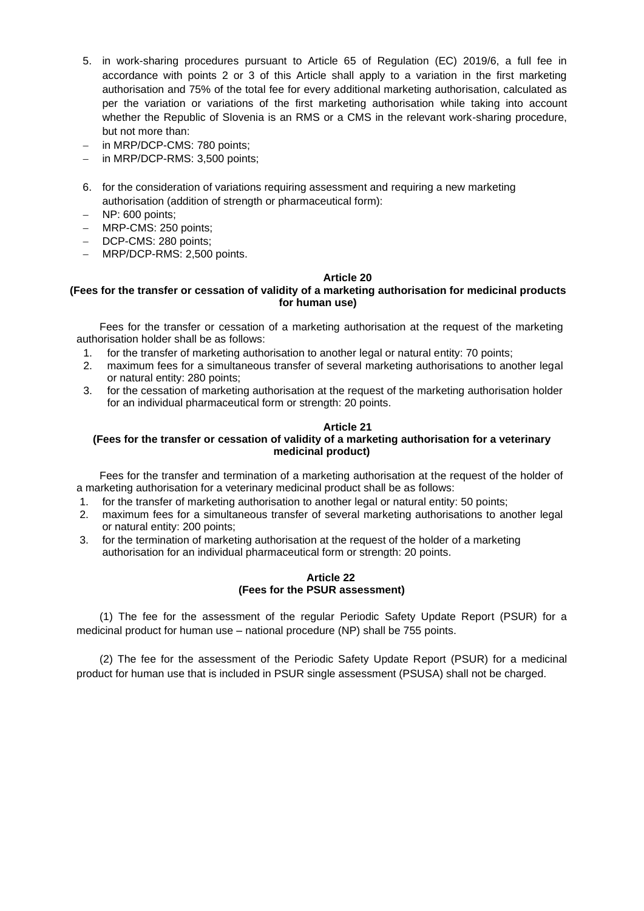- 5. in work-sharing procedures pursuant to Article 65 of Regulation (EC) 2019/6, a full fee in accordance with points 2 or 3 of this Article shall apply to a variation in the first marketing authorisation and 75% of the total fee for every additional marketing authorisation, calculated as per the variation or variations of the first marketing authorisation while taking into account whether the Republic of Slovenia is an RMS or a CMS in the relevant work-sharing procedure, but not more than:
- in MRP/DCP-CMS: 780 points;
- in MRP/DCP-RMS: 3,500 points;
- 6. for the consideration of variations requiring assessment and requiring a new marketing authorisation (addition of strength or pharmaceutical form):
- − NP: 600 points;
- − MRP-CMS: 250 points;
- DCP-CMS: 280 points;
- − MRP/DCP-RMS: 2,500 points.

## **(Fees for the transfer or cessation of validity of a marketing authorisation for medicinal products for human use)**

Fees for the transfer or cessation of a marketing authorisation at the request of the marketing authorisation holder shall be as follows:

- 1. for the transfer of marketing authorisation to another legal or natural entity: 70 points;
- 2. maximum fees for a simultaneous transfer of several marketing authorisations to another legal or natural entity: 280 points;
- 3. for the cessation of marketing authorisation at the request of the marketing authorisation holder for an individual pharmaceutical form or strength: 20 points.

# **Article 21**

## **(Fees for the transfer or cessation of validity of a marketing authorisation for a veterinary medicinal product)**

Fees for the transfer and termination of a marketing authorisation at the request of the holder of a marketing authorisation for a veterinary medicinal product shall be as follows:

- 1. for the transfer of marketing authorisation to another legal or natural entity: 50 points;
- 2. maximum fees for a simultaneous transfer of several marketing authorisations to another legal or natural entity: 200 points;
- 3. for the termination of marketing authorisation at the request of the holder of a marketing authorisation for an individual pharmaceutical form or strength: 20 points.

## **Article 22 (Fees for the PSUR assessment)**

(1) The fee for the assessment of the regular Periodic Safety Update Report (PSUR) for a medicinal product for human use – national procedure (NP) shall be 755 points.

(2) The fee for the assessment of the Periodic Safety Update Report (PSUR) for a medicinal product for human use that is included in PSUR single assessment (PSUSA) shall not be charged.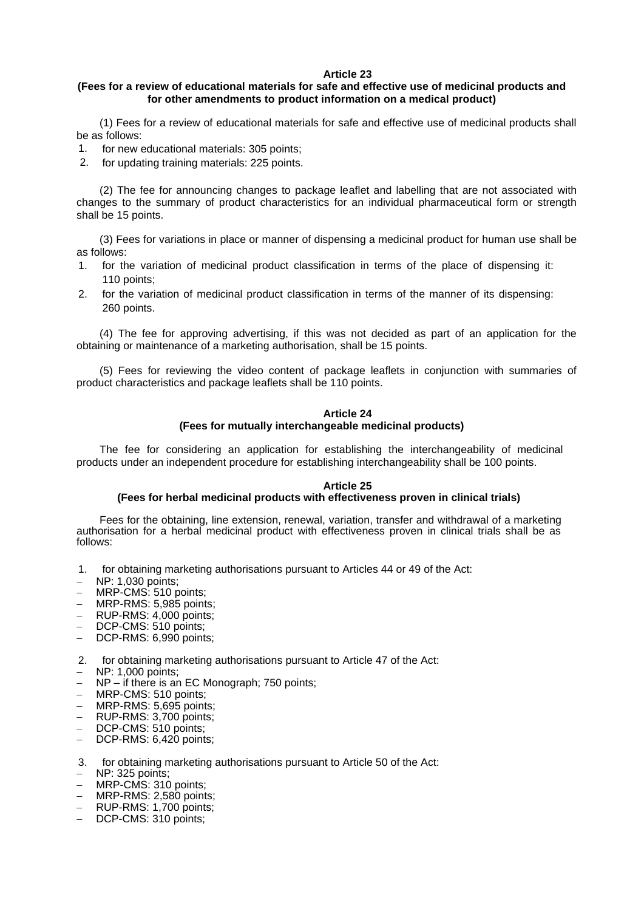## **(Fees for a review of educational materials for safe and effective use of medicinal products and for other amendments to product information on a medical product)**

(1) Fees for a review of educational materials for safe and effective use of medicinal products shall be as follows:

- 1. for new educational materials: 305 points;
- 2. for updating training materials: 225 points.

(2) The fee for announcing changes to package leaflet and labelling that are not associated with changes to the summary of product characteristics for an individual pharmaceutical form or strength shall be 15 points.

(3) Fees for variations in place or manner of dispensing a medicinal product for human use shall be as follows:

- 1. for the variation of medicinal product classification in terms of the place of dispensing it: 110 points;
- 2. for the variation of medicinal product classification in terms of the manner of its dispensing: 260 points.

(4) The fee for approving advertising, if this was not decided as part of an application for the obtaining or maintenance of a marketing authorisation, shall be 15 points.

(5) Fees for reviewing the video content of package leaflets in conjunction with summaries of product characteristics and package leaflets shall be 110 points.

### **Article 24 (Fees for mutually interchangeable medicinal products)**

The fee for considering an application for establishing the interchangeability of medicinal products under an independent procedure for establishing interchangeability shall be 100 points.

### **Article 25**

### **(Fees for herbal medicinal products with effectiveness proven in clinical trials)**

Fees for the obtaining, line extension, renewal, variation, transfer and withdrawal of a marketing authorisation for a herbal medicinal product with effectiveness proven in clinical trials shall be as follows:

- 1. for obtaining marketing authorisations pursuant to Articles 44 or 49 of the Act:
- − NP: 1,030 points;
- − MRP-CMS: 510 points;
- − MRP-RMS: 5,985 points;
- − RUP-RMS: 4,000 points;
- DCP-CMS: 510 points;
- DCP-RMS: 6,990 points;
- 2. for obtaining marketing authorisations pursuant to Article 47 of the Act:
- − NP: 1,000 points;
- NP if there is an EC Monograph; 750 points;
- − MRP-CMS: 510 points;
- − MRP-RMS: 5,695 points;
- − RUP-RMS: 3,700 points;
- − DCP-CMS: 510 points;
- − DCP-RMS: 6,420 points;
- 3. for obtaining marketing authorisations pursuant to Article 50 of the Act:
- − NP: 325 points;
- − MRP-CMS: 310 points;
- − MRP-RMS: 2,580 points;
- − RUP-RMS: 1,700 points;
- DCP-CMS: 310 points;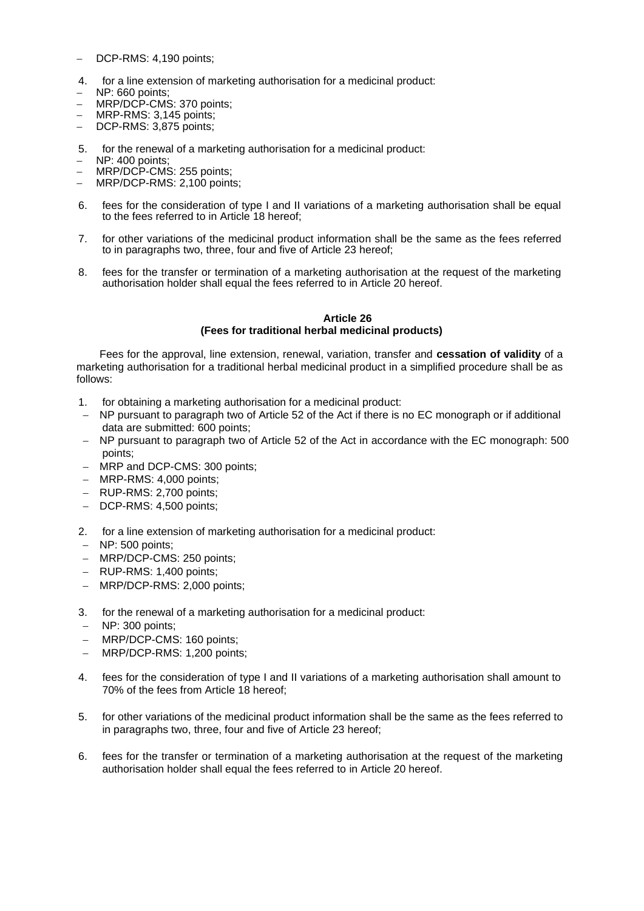- DCP-RMS: 4,190 points;
- 4. for a line extension of marketing authorisation for a medicinal product:
- − NP: 660 points;
- − MRP/DCP-CMS: 370 points;
- − MRP-RMS: 3,145 points;
- − DCP-RMS: 3,875 points;
- 5. for the renewal of a marketing authorisation for a medicinal product:
- − NP: 400 points;
- − MRP/DCP-CMS: 255 points;
- − MRP/DCP-RMS: 2,100 points;
- 6. fees for the consideration of type I and II variations of a marketing authorisation shall be equal to the fees referred to in Article 18 hereof:
- 7. for other variations of the medicinal product information shall be the same as the fees referred to in paragraphs two, three, four and five of Article 23 hereof;
- 8. fees for the transfer or termination of a marketing authorisation at the request of the marketing authorisation holder shall equal the fees referred to in Article 20 hereof.

### **Article 26 (Fees for traditional herbal medicinal products)**

Fees for the approval, line extension, renewal, variation, transfer and **cessation of validity** of a marketing authorisation for a traditional herbal medicinal product in a simplified procedure shall be as follows:

- 1. for obtaining a marketing authorisation for a medicinal product:
- − NP pursuant to paragraph two of Article 52 of the Act if there is no EC monograph or if additional data are submitted: 600 points;
- − NP pursuant to paragraph two of Article 52 of the Act in accordance with the EC monograph: 500 points;
- − MRP and DCP-CMS: 300 points;
- − MRP-RMS: 4,000 points;
- − RUP-RMS: 2,700 points;
- − DCP-RMS: 4,500 points;
- 2. for a line extension of marketing authorisation for a medicinal product:
- − NP: 500 points;
- − MRP/DCP-CMS: 250 points;
- − RUP-RMS: 1,400 points;
- − MRP/DCP-RMS: 2,000 points;
- 3. for the renewal of a marketing authorisation for a medicinal product:
- − NP: 300 points;
- − MRP/DCP-CMS: 160 points;
- − MRP/DCP-RMS: 1,200 points;
- 4. fees for the consideration of type I and II variations of a marketing authorisation shall amount to 70% of the fees from Article 18 hereof;
- 5. for other variations of the medicinal product information shall be the same as the fees referred to in paragraphs two, three, four and five of Article 23 hereof;
- 6. fees for the transfer or termination of a marketing authorisation at the request of the marketing authorisation holder shall equal the fees referred to in Article 20 hereof.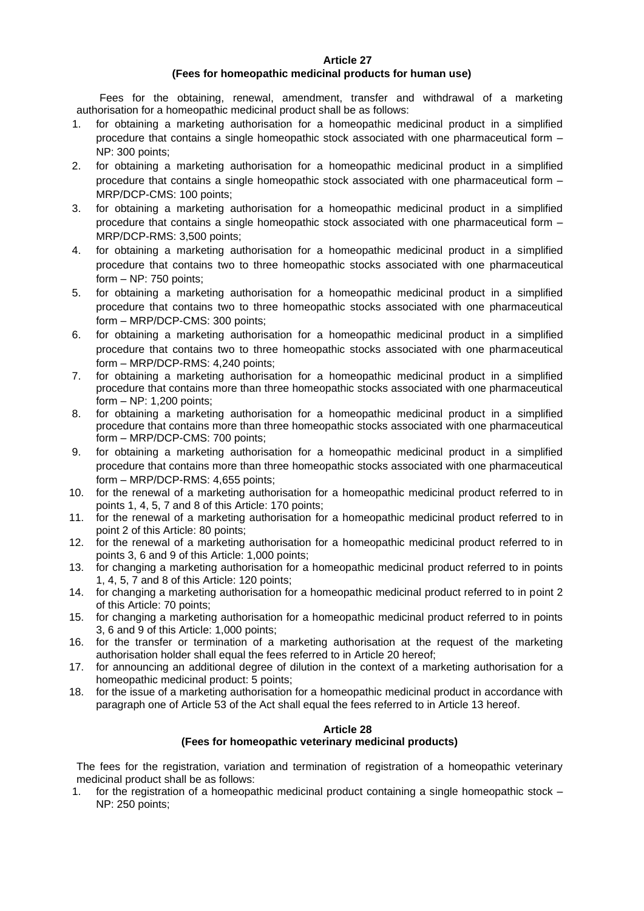### **(Fees for homeopathic medicinal products for human use)**

Fees for the obtaining, renewal, amendment, transfer and withdrawal of a marketing authorisation for a homeopathic medicinal product shall be as follows:

- 1. for obtaining a marketing authorisation for a homeopathic medicinal product in a simplified procedure that contains a single homeopathic stock associated with one pharmaceutical form – NP: 300 points;
- 2. for obtaining a marketing authorisation for a homeopathic medicinal product in a simplified procedure that contains a single homeopathic stock associated with one pharmaceutical form – MRP/DCP-CMS: 100 points;
- 3. for obtaining a marketing authorisation for a homeopathic medicinal product in a simplified procedure that contains a single homeopathic stock associated with one pharmaceutical form – MRP/DCP-RMS: 3,500 points;
- 4. for obtaining a marketing authorisation for a homeopathic medicinal product in a simplified procedure that contains two to three homeopathic stocks associated with one pharmaceutical form – NP: 750 points;
- 5. for obtaining a marketing authorisation for a homeopathic medicinal product in a simplified procedure that contains two to three homeopathic stocks associated with one pharmaceutical form – MRP/DCP-CMS: 300 points;
- 6. for obtaining a marketing authorisation for a homeopathic medicinal product in a simplified procedure that contains two to three homeopathic stocks associated with one pharmaceutical form – MRP/DCP-RMS: 4,240 points;
- 7. for obtaining a marketing authorisation for a homeopathic medicinal product in a simplified procedure that contains more than three homeopathic stocks associated with one pharmaceutical form – NP: 1,200 points;
- 8. for obtaining a marketing authorisation for a homeopathic medicinal product in a simplified procedure that contains more than three homeopathic stocks associated with one pharmaceutical form – MRP/DCP-CMS: 700 points;
- 9. for obtaining a marketing authorisation for a homeopathic medicinal product in a simplified procedure that contains more than three homeopathic stocks associated with one pharmaceutical form – MRP/DCP-RMS: 4,655 points;
- 10. for the renewal of a marketing authorisation for a homeopathic medicinal product referred to in points 1, 4, 5, 7 and 8 of this Article: 170 points;
- 11. for the renewal of a marketing authorisation for a homeopathic medicinal product referred to in point 2 of this Article: 80 points;
- 12. for the renewal of a marketing authorisation for a homeopathic medicinal product referred to in points 3, 6 and 9 of this Article: 1,000 points;
- 13. for changing a marketing authorisation for a homeopathic medicinal product referred to in points 1, 4, 5, 7 and 8 of this Article: 120 points;
- 14. for changing a marketing authorisation for a homeopathic medicinal product referred to in point 2 of this Article: 70 points;
- 15. for changing a marketing authorisation for a homeopathic medicinal product referred to in points 3, 6 and 9 of this Article: 1,000 points;
- 16. for the transfer or termination of a marketing authorisation at the request of the marketing authorisation holder shall equal the fees referred to in Article 20 hereof;
- 17. for announcing an additional degree of dilution in the context of a marketing authorisation for a homeopathic medicinal product: 5 points;
- 18. for the issue of a marketing authorisation for a homeopathic medicinal product in accordance with paragraph one of Article 53 of the Act shall equal the fees referred to in Article 13 hereof.

### **Article 28**

### **(Fees for homeopathic veterinary medicinal products)**

The fees for the registration, variation and termination of registration of a homeopathic veterinary medicinal product shall be as follows:

1. for the registration of a homeopathic medicinal product containing a single homeopathic stock – NP: 250 points;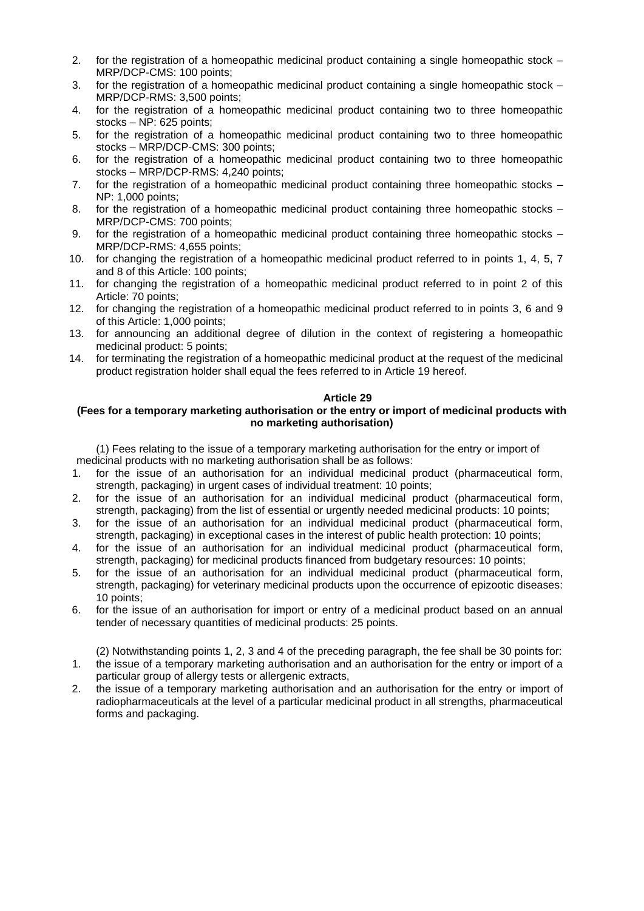- 2. for the registration of a homeopathic medicinal product containing a single homeopathic stock MRP/DCP-CMS: 100 points;
- 3. for the registration of a homeopathic medicinal product containing a single homeopathic stock MRP/DCP-RMS: 3,500 points;
- 4. for the registration of a homeopathic medicinal product containing two to three homeopathic stocks – NP: 625 points;
- 5. for the registration of a homeopathic medicinal product containing two to three homeopathic stocks – MRP/DCP-CMS: 300 points;
- 6. for the registration of a homeopathic medicinal product containing two to three homeopathic stocks – MRP/DCP-RMS: 4,240 points;
- 7. for the registration of a homeopathic medicinal product containing three homeopathic stocks NP: 1,000 points;
- 8. for the registration of a homeopathic medicinal product containing three homeopathic stocks MRP/DCP-CMS: 700 points;
- 9. for the registration of a homeopathic medicinal product containing three homeopathic stocks MRP/DCP-RMS: 4,655 points;
- 10. for changing the registration of a homeopathic medicinal product referred to in points 1, 4, 5, 7 and 8 of this Article: 100 points;
- 11. for changing the registration of a homeopathic medicinal product referred to in point 2 of this Article: 70 points;
- 12. for changing the registration of a homeopathic medicinal product referred to in points 3, 6 and 9 of this Article: 1,000 points;
- 13. for announcing an additional degree of dilution in the context of registering a homeopathic medicinal product: 5 points;
- 14. for terminating the registration of a homeopathic medicinal product at the request of the medicinal product registration holder shall equal the fees referred to in Article 19 hereof.

## **(Fees for a temporary marketing authorisation or the entry or import of medicinal products with no marketing authorisation)**

(1) Fees relating to the issue of a temporary marketing authorisation for the entry or import of medicinal products with no marketing authorisation shall be as follows:

- 1. for the issue of an authorisation for an individual medicinal product (pharmaceutical form, strength, packaging) in urgent cases of individual treatment: 10 points;
- 2. for the issue of an authorisation for an individual medicinal product (pharmaceutical form, strength, packaging) from the list of essential or urgently needed medicinal products: 10 points;
- 3. for the issue of an authorisation for an individual medicinal product (pharmaceutical form, strength, packaging) in exceptional cases in the interest of public health protection: 10 points;
- 4. for the issue of an authorisation for an individual medicinal product (pharmaceutical form, strength, packaging) for medicinal products financed from budgetary resources: 10 points;
- 5. for the issue of an authorisation for an individual medicinal product (pharmaceutical form, strength, packaging) for veterinary medicinal products upon the occurrence of epizootic diseases: 10 points;
- 6. for the issue of an authorisation for import or entry of a medicinal product based on an annual tender of necessary quantities of medicinal products: 25 points.

(2) Notwithstanding points 1, 2, 3 and 4 of the preceding paragraph, the fee shall be 30 points for:

- 1. the issue of a temporary marketing authorisation and an authorisation for the entry or import of a particular group of allergy tests or allergenic extracts,
- 2. the issue of a temporary marketing authorisation and an authorisation for the entry or import of radiopharmaceuticals at the level of a particular medicinal product in all strengths, pharmaceutical forms and packaging.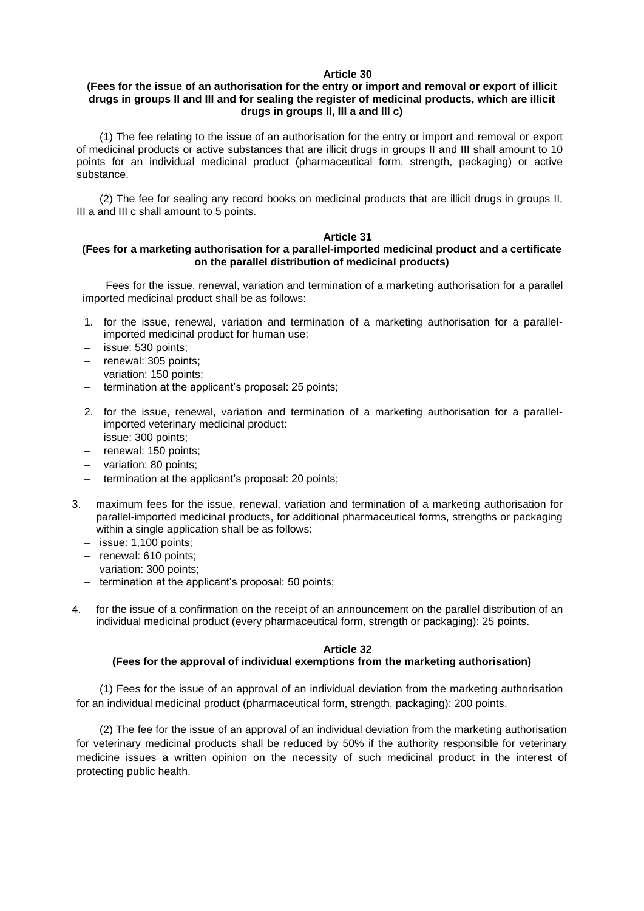## **(Fees for the issue of an authorisation for the entry or import and removal or export of illicit drugs in groups II and III and for sealing the register of medicinal products, which are illicit drugs in groups II, III a and III c)**

(1) The fee relating to the issue of an authorisation for the entry or import and removal or export of medicinal products or active substances that are illicit drugs in groups II and III shall amount to 10 points for an individual medicinal product (pharmaceutical form, strength, packaging) or active substance.

(2) The fee for sealing any record books on medicinal products that are illicit drugs in groups II, III a and III c shall amount to 5 points.

### **Article 31**

## **(Fees for a marketing authorisation for a parallel-imported medicinal product and a certificate on the parallel distribution of medicinal products)**

Fees for the issue, renewal, variation and termination of a marketing authorisation for a parallel imported medicinal product shall be as follows:

- 1. for the issue, renewal, variation and termination of a marketing authorisation for a parallelimported medicinal product for human use:
- − issue: 530 points;
- − renewal: 305 points;
- − variation: 150 points;
- termination at the applicant's proposal: 25 points;
- 2. for the issue, renewal, variation and termination of a marketing authorisation for a parallelimported veterinary medicinal product:
- − issue: 300 points;
- − renewal: 150 points;
- − variation: 80 points;
- termination at the applicant's proposal: 20 points;
- 3. maximum fees for the issue, renewal, variation and termination of a marketing authorisation for parallel-imported medicinal products, for additional pharmaceutical forms, strengths or packaging within a single application shall be as follows:
	- − issue: 1,100 points;
	- − renewal: 610 points;
	- − variation: 300 points;
	- − termination at the applicant's proposal: 50 points;
- 4. for the issue of a confirmation on the receipt of an announcement on the parallel distribution of an individual medicinal product (every pharmaceutical form, strength or packaging): 25 points.

### **Article 32**

## **(Fees for the approval of individual exemptions from the marketing authorisation)**

(1) Fees for the issue of an approval of an individual deviation from the marketing authorisation for an individual medicinal product (pharmaceutical form, strength, packaging): 200 points.

(2) The fee for the issue of an approval of an individual deviation from the marketing authorisation for veterinary medicinal products shall be reduced by 50% if the authority responsible for veterinary medicine issues a written opinion on the necessity of such medicinal product in the interest of protecting public health.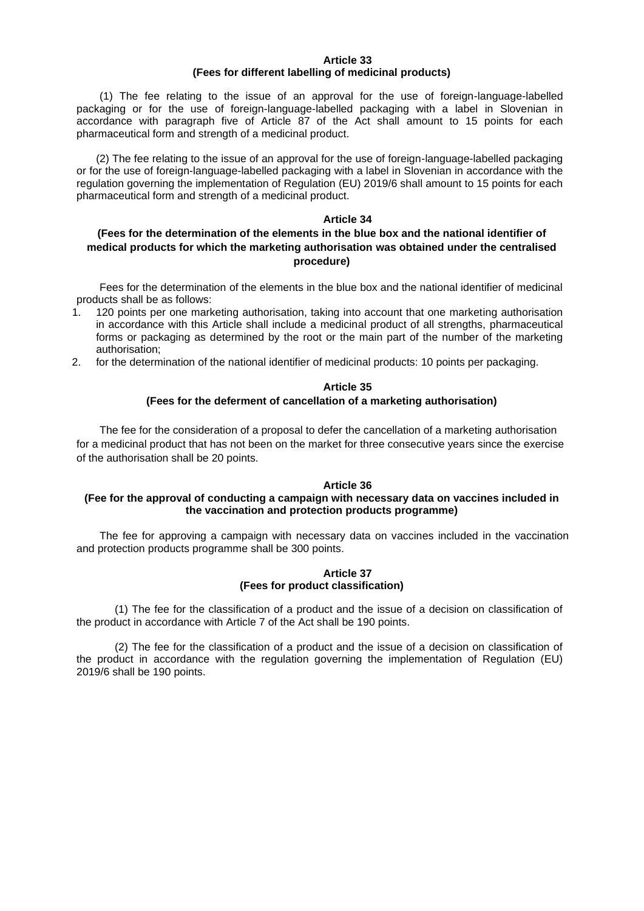### **Article 33 (Fees for different labelling of medicinal products)**

(1) The fee relating to the issue of an approval for the use of foreign-language-labelled packaging or for the use of foreign-language-labelled packaging with a label in Slovenian in accordance with paragraph five of Article 87 of the Act shall amount to 15 points for each pharmaceutical form and strength of a medicinal product.

(2) The fee relating to the issue of an approval for the use of foreign-language-labelled packaging or for the use of foreign-language-labelled packaging with a label in Slovenian in accordance with the regulation governing the implementation of Regulation (EU) 2019/6 shall amount to 15 points for each pharmaceutical form and strength of a medicinal product.

### **Article 34**

# **(Fees for the determination of the elements in the blue box and the national identifier of medical products for which the marketing authorisation was obtained under the centralised procedure)**

Fees for the determination of the elements in the blue box and the national identifier of medicinal products shall be as follows:

- 1. 120 points per one marketing authorisation, taking into account that one marketing authorisation in accordance with this Article shall include a medicinal product of all strengths, pharmaceutical forms or packaging as determined by the root or the main part of the number of the marketing authorisation;
- 2. for the determination of the national identifier of medicinal products: 10 points per packaging.

## **Article 35 (Fees for the deferment of cancellation of a marketing authorisation)**

The fee for the consideration of a proposal to defer the cancellation of a marketing authorisation for a medicinal product that has not been on the market for three consecutive years since the exercise of the authorisation shall be 20 points.

### **Article 36**

## **(Fee for the approval of conducting a campaign with necessary data on vaccines included in the vaccination and protection products programme)**

The fee for approving a campaign with necessary data on vaccines included in the vaccination and protection products programme shall be 300 points.

## **Article 37 (Fees for product classification)**

(1) The fee for the classification of a product and the issue of a decision on classification of the product in accordance with Article 7 of the Act shall be 190 points.

(2) The fee for the classification of a product and the issue of a decision on classification of the product in accordance with the regulation governing the implementation of Regulation (EU) 2019/6 shall be 190 points.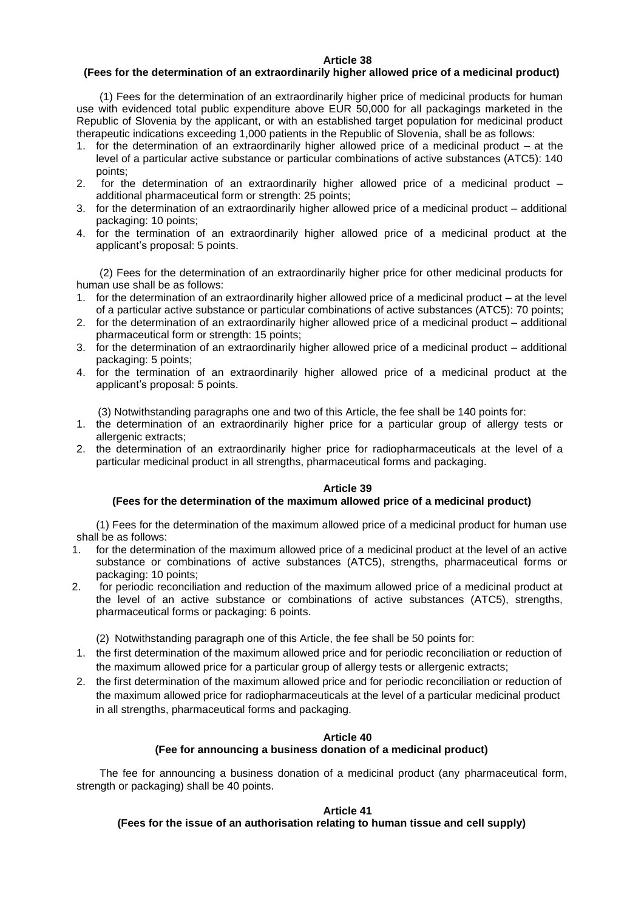### **(Fees for the determination of an extraordinarily higher allowed price of a medicinal product)**

(1) Fees for the determination of an extraordinarily higher price of medicinal products for human use with evidenced total public expenditure above EUR 50,000 for all packagings marketed in the Republic of Slovenia by the applicant, or with an established target population for medicinal product therapeutic indications exceeding 1,000 patients in the Republic of Slovenia, shall be as follows:

- 1. for the determination of an extraordinarily higher allowed price of a medicinal product at the level of a particular active substance or particular combinations of active substances (ATC5): 140 points;
- 2. for the determination of an extraordinarily higher allowed price of a medicinal product additional pharmaceutical form or strength: 25 points;
- 3. for the determination of an extraordinarily higher allowed price of a medicinal product additional packaging: 10 points;
- 4. for the termination of an extraordinarily higher allowed price of a medicinal product at the applicant's proposal: 5 points.

(2) Fees for the determination of an extraordinarily higher price for other medicinal products for human use shall be as follows:

- 1. for the determination of an extraordinarily higher allowed price of a medicinal product at the level of a particular active substance or particular combinations of active substances (ATC5): 70 points;
- 2. for the determination of an extraordinarily higher allowed price of a medicinal product additional pharmaceutical form or strength: 15 points;
- 3. for the determination of an extraordinarily higher allowed price of a medicinal product additional packaging: 5 points;
- 4. for the termination of an extraordinarily higher allowed price of a medicinal product at the applicant's proposal: 5 points.
	- (3) Notwithstanding paragraphs one and two of this Article, the fee shall be 140 points for:
- 1. the determination of an extraordinarily higher price for a particular group of allergy tests or allergenic extracts;
- 2. the determination of an extraordinarily higher price for radiopharmaceuticals at the level of a particular medicinal product in all strengths, pharmaceutical forms and packaging.

### **Article 39**

### **(Fees for the determination of the maximum allowed price of a medicinal product)**

(1) Fees for the determination of the maximum allowed price of a medicinal product for human use shall be as follows:

- 1. for the determination of the maximum allowed price of a medicinal product at the level of an active substance or combinations of active substances (ATC5), strengths, pharmaceutical forms or packaging: 10 points;
- 2. for periodic reconciliation and reduction of the maximum allowed price of a medicinal product at the level of an active substance or combinations of active substances (ATC5), strengths, pharmaceutical forms or packaging: 6 points.

(2) Notwithstanding paragraph one of this Article, the fee shall be 50 points for:

- 1. the first determination of the maximum allowed price and for periodic reconciliation or reduction of the maximum allowed price for a particular group of allergy tests or allergenic extracts;
- 2. the first determination of the maximum allowed price and for periodic reconciliation or reduction of the maximum allowed price for radiopharmaceuticals at the level of a particular medicinal product in all strengths, pharmaceutical forms and packaging.

### **Article 40**

### **(Fee for announcing a business donation of a medicinal product)**

The fee for announcing a business donation of a medicinal product (any pharmaceutical form, strength or packaging) shall be 40 points.

### **Article 41**

## **(Fees for the issue of an authorisation relating to human tissue and cell supply)**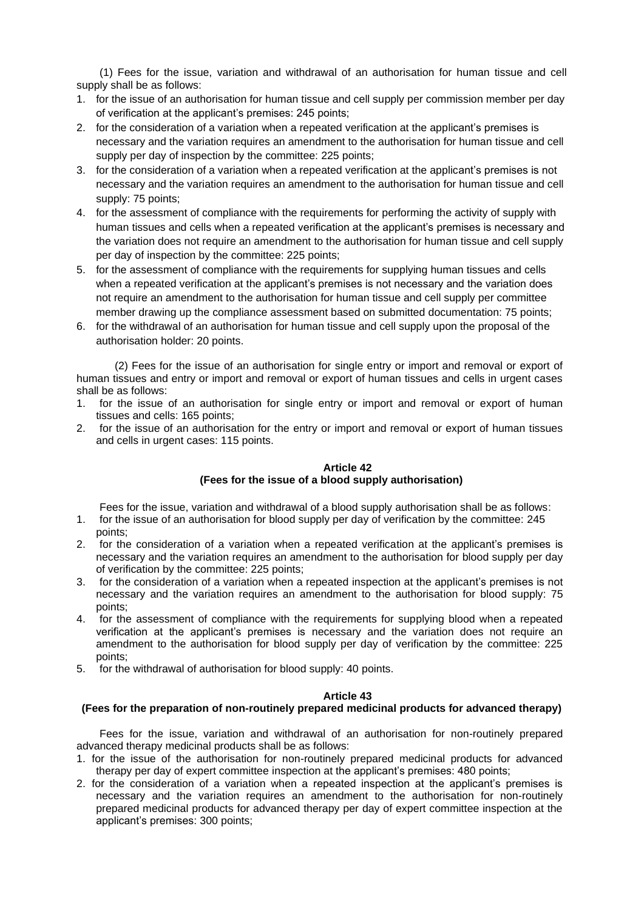(1) Fees for the issue, variation and withdrawal of an authorisation for human tissue and cell supply shall be as follows:

- 1. for the issue of an authorisation for human tissue and cell supply per commission member per day of verification at the applicant's premises: 245 points;
- 2. for the consideration of a variation when a repeated verification at the applicant's premises is necessary and the variation requires an amendment to the authorisation for human tissue and cell supply per day of inspection by the committee: 225 points;
- 3. for the consideration of a variation when a repeated verification at the applicant's premises is not necessary and the variation requires an amendment to the authorisation for human tissue and cell supply: 75 points;
- 4. for the assessment of compliance with the requirements for performing the activity of supply with human tissues and cells when a repeated verification at the applicant's premises is necessary and the variation does not require an amendment to the authorisation for human tissue and cell supply per day of inspection by the committee: 225 points;
- 5. for the assessment of compliance with the requirements for supplying human tissues and cells when a repeated verification at the applicant's premises is not necessary and the variation does not require an amendment to the authorisation for human tissue and cell supply per committee member drawing up the compliance assessment based on submitted documentation: 75 points;
- 6. for the withdrawal of an authorisation for human tissue and cell supply upon the proposal of the authorisation holder: 20 points.

(2) Fees for the issue of an authorisation for single entry or import and removal or export of human tissues and entry or import and removal or export of human tissues and cells in urgent cases shall be as follows:

- 1. for the issue of an authorisation for single entry or import and removal or export of human tissues and cells: 165 points;
- 2. for the issue of an authorisation for the entry or import and removal or export of human tissues and cells in urgent cases: 115 points.

# **Article 42 (Fees for the issue of a blood supply authorisation)**

Fees for the issue, variation and withdrawal of a blood supply authorisation shall be as follows:

- 1. for the issue of an authorisation for blood supply per day of verification by the committee: 245 points;
- 2. for the consideration of a variation when a repeated verification at the applicant's premises is necessary and the variation requires an amendment to the authorisation for blood supply per day of verification by the committee: 225 points;
- 3. for the consideration of a variation when a repeated inspection at the applicant's premises is not necessary and the variation requires an amendment to the authorisation for blood supply: 75 points;
- 4. for the assessment of compliance with the requirements for supplying blood when a repeated verification at the applicant's premises is necessary and the variation does not require an amendment to the authorisation for blood supply per day of verification by the committee: 225 points;
- 5. for the withdrawal of authorisation for blood supply: 40 points.

# **Article 43**

# **(Fees for the preparation of non-routinely prepared medicinal products for advanced therapy)**

Fees for the issue, variation and withdrawal of an authorisation for non-routinely prepared advanced therapy medicinal products shall be as follows:

- 1. for the issue of the authorisation for non-routinely prepared medicinal products for advanced therapy per day of expert committee inspection at the applicant's premises: 480 points;
- 2. for the consideration of a variation when a repeated inspection at the applicant's premises is necessary and the variation requires an amendment to the authorisation for non-routinely prepared medicinal products for advanced therapy per day of expert committee inspection at the applicant's premises: 300 points;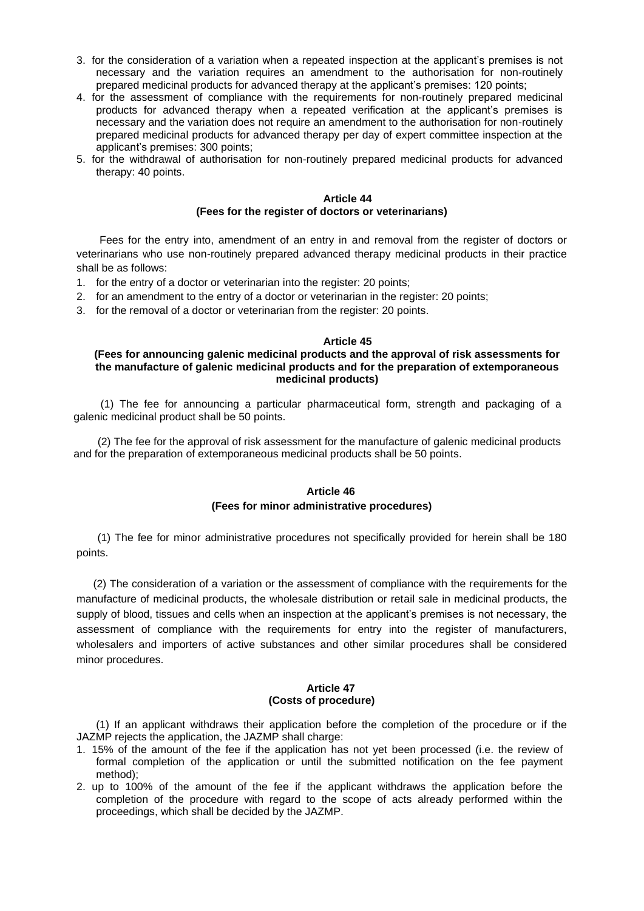- 3. for the consideration of a variation when a repeated inspection at the applicant's premises is not necessary and the variation requires an amendment to the authorisation for non-routinely prepared medicinal products for advanced therapy at the applicant's premises: 120 points;
- 4. for the assessment of compliance with the requirements for non-routinely prepared medicinal products for advanced therapy when a repeated verification at the applicant's premises is necessary and the variation does not require an amendment to the authorisation for non-routinely prepared medicinal products for advanced therapy per day of expert committee inspection at the applicant's premises: 300 points;
- 5. for the withdrawal of authorisation for non-routinely prepared medicinal products for advanced therapy: 40 points.

### **Article 44 (Fees for the register of doctors or veterinarians)**

Fees for the entry into, amendment of an entry in and removal from the register of doctors or veterinarians who use non-routinely prepared advanced therapy medicinal products in their practice shall be as follows:

- 1. for the entry of a doctor or veterinarian into the register: 20 points;
- 2. for an amendment to the entry of a doctor or veterinarian in the register: 20 points;
- 3. for the removal of a doctor or veterinarian from the register: 20 points.

### **Article 45**

### **(Fees for announcing galenic medicinal products and the approval of risk assessments for the manufacture of galenic medicinal products and for the preparation of extemporaneous medicinal products)**

 (1) The fee for announcing a particular pharmaceutical form, strength and packaging of a galenic medicinal product shall be 50 points.

 (2) The fee for the approval of risk assessment for the manufacture of galenic medicinal products and for the preparation of extemporaneous medicinal products shall be 50 points.

# **Article 46 (Fees for minor administrative procedures)**

 (1) The fee for minor administrative procedures not specifically provided for herein shall be 180 points.

(2) The consideration of a variation or the assessment of compliance with the requirements for the manufacture of medicinal products, the wholesale distribution or retail sale in medicinal products, the supply of blood, tissues and cells when an inspection at the applicant's premises is not necessary, the assessment of compliance with the requirements for entry into the register of manufacturers, wholesalers and importers of active substances and other similar procedures shall be considered minor procedures.

### **Article 47 (Costs of procedure)**

(1) If an applicant withdraws their application before the completion of the procedure or if the JAZMP rejects the application, the JAZMP shall charge:

- 1. 15% of the amount of the fee if the application has not yet been processed (i.e. the review of formal completion of the application or until the submitted notification on the fee payment method);
- 2. up to 100% of the amount of the fee if the applicant withdraws the application before the completion of the procedure with regard to the scope of acts already performed within the proceedings, which shall be decided by the JAZMP.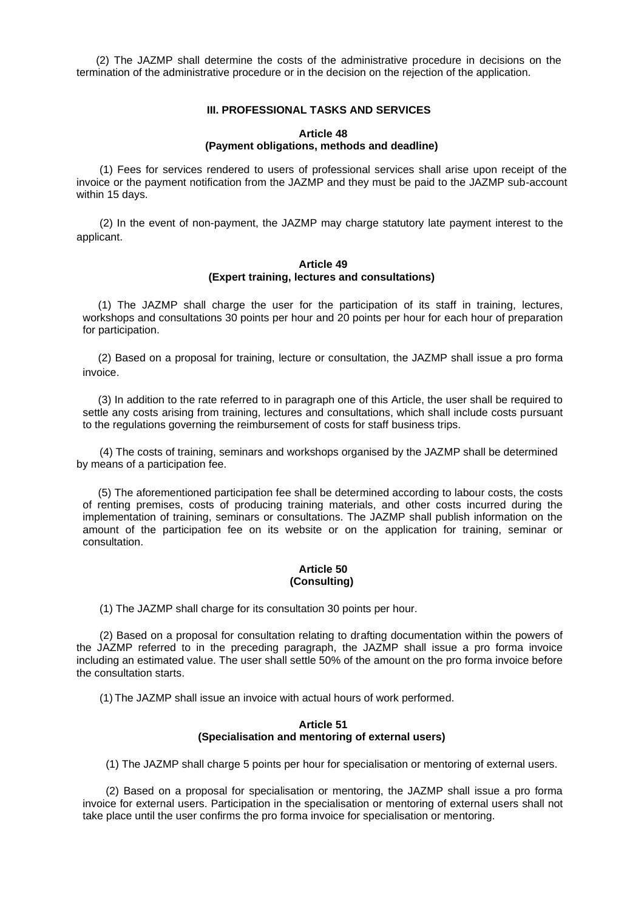(2) The JAZMP shall determine the costs of the administrative procedure in decisions on the termination of the administrative procedure or in the decision on the rejection of the application.

### **III. PROFESSIONAL TASKS AND SERVICES**

### **Article 48 (Payment obligations, methods and deadline)**

(1) Fees for services rendered to users of professional services shall arise upon receipt of the invoice or the payment notification from the JAZMP and they must be paid to the JAZMP sub-account within 15 days.

(2) In the event of non-payment, the JAZMP may charge statutory late payment interest to the applicant.

### **Article 49 (Expert training, lectures and consultations)**

(1) The JAZMP shall charge the user for the participation of its staff in training, lectures, workshops and consultations 30 points per hour and 20 points per hour for each hour of preparation for participation.

(2) Based on a proposal for training, lecture or consultation, the JAZMP shall issue a pro forma invoice.

(3) In addition to the rate referred to in paragraph one of this Article, the user shall be required to settle any costs arising from training, lectures and consultations, which shall include costs pursuant to the regulations governing the reimbursement of costs for staff business trips.

(4) The costs of training, seminars and workshops organised by the JAZMP shall be determined by means of a participation fee.

(5) The aforementioned participation fee shall be determined according to labour costs, the costs of renting premises, costs of producing training materials, and other costs incurred during the implementation of training, seminars or consultations. The JAZMP shall publish information on the amount of the participation fee on its website or on the application for training, seminar or consultation.

### **Article 50 (Consulting)**

(1) The JAZMP shall charge for its consultation 30 points per hour.

(2) Based on a proposal for consultation relating to drafting documentation within the powers of the JAZMP referred to in the preceding paragraph, the JAZMP shall issue a pro forma invoice including an estimated value. The user shall settle 50% of the amount on the pro forma invoice before the consultation starts.

(1) The JAZMP shall issue an invoice with actual hours of work performed.

### **Article 51 (Specialisation and mentoring of external users)**

(1) The JAZMP shall charge 5 points per hour for specialisation or mentoring of external users.

(2) Based on a proposal for specialisation or mentoring, the JAZMP shall issue a pro forma invoice for external users. Participation in the specialisation or mentoring of external users shall not take place until the user confirms the pro forma invoice for specialisation or mentoring.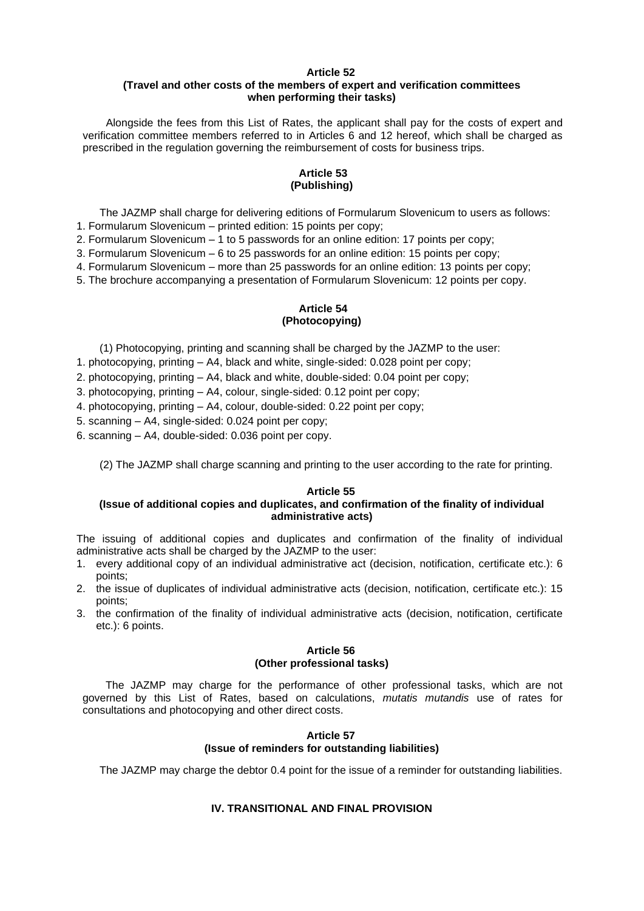# **(Travel and other costs of the members of expert and verification committees when performing their tasks)**

Alongside the fees from this List of Rates, the applicant shall pay for the costs of expert and verification committee members referred to in Articles 6 and 12 hereof, which shall be charged as prescribed in the regulation governing the reimbursement of costs for business trips.

## **Article 53 (Publishing)**

The JAZMP shall charge for delivering editions of Formularum Slovenicum to users as follows: 1. Formularum Slovenicum – printed edition: 15 points per copy;

2. Formularum Slovenicum – 1 to 5 passwords for an online edition: 17 points per copy;

3. Formularum Slovenicum – 6 to 25 passwords for an online edition: 15 points per copy;

4. Formularum Slovenicum – more than 25 passwords for an online edition: 13 points per copy;

5. The brochure accompanying a presentation of Formularum Slovenicum: 12 points per copy.

# **Article 54 (Photocopying)**

(1) Photocopying, printing and scanning shall be charged by the JAZMP to the user:

1. photocopying, printing – A4, black and white, single-sided: 0.028 point per copy;

2. photocopying, printing – A4, black and white, double-sided: 0.04 point per copy;

3. photocopying, printing – A4, colour, single-sided: 0.12 point per copy;

4. photocopying, printing – A4, colour, double-sided: 0.22 point per copy;

5. scanning – A4, single-sided: 0.024 point per copy;

6. scanning – A4, double-sided: 0.036 point per copy.

(2) The JAZMP shall charge scanning and printing to the user according to the rate for printing.

### **Article 55**

## **(Issue of additional copies and duplicates, and confirmation of the finality of individual administrative acts)**

The issuing of additional copies and duplicates and confirmation of the finality of individual administrative acts shall be charged by the JAZMP to the user:

- 1. every additional copy of an individual administrative act (decision, notification, certificate etc.): 6 points;
- 2. the issue of duplicates of individual administrative acts (decision, notification, certificate etc.): 15 points;
- 3. the confirmation of the finality of individual administrative acts (decision, notification, certificate etc.): 6 points.

## **Article 56 (Other professional tasks)**

The JAZMP may charge for the performance of other professional tasks, which are not governed by this List of Rates, based on calculations, *mutatis mutandis* use of rates for consultations and photocopying and other direct costs.

## **Article 57 (Issue of reminders for outstanding liabilities)**

The JAZMP may charge the debtor 0.4 point for the issue of a reminder for outstanding liabilities.

# **IV. TRANSITIONAL AND FINAL PROVISION**